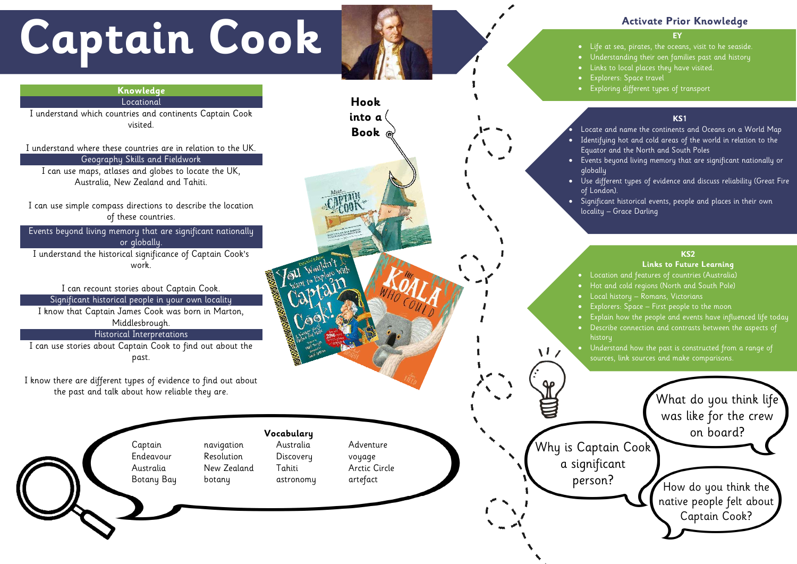**Vocabulary** Captain navigation Australia Adventure Endeavour Resolution Discovery voyage Australia New Zealand Tahiti Arctic Circle Botany Bay botany astronomy artefact

# **Captain Cook**

#### **EY**

• Life at sea, pirates, the oceans, visit to he seaside.

• Understanding their oen families past and history

• Links to local places they have visited.

• Explorers: Space travel

• Exploring different types of transport

# **Activate Prior Knowledge**

#### **KS1**

• Locate and name the continents and Oceans on a World Map • Identifying hot and cold areas of the world in relation to the Equator and the North and South Poles

• Events beyond living memory that are significant nationally or globally

• Use different types of evidence and discuss reliability (Great Fire of London ).

- $\bullet$   $\;$  Hot and cold regions (North and South Pole)
- Local history Romans, Victorians, rivers, rivers, rivers,  $\bullet$ 
	- $\bullet$  Explorers: Space First people to the moon  $\hspace{0.1cm}$  . The moon
	- Explain how the people and events have influenced life today
- Describe connection and contrasts between the aspects of history

• Significant historical events, people and places in their own

locality – Grace Darling

 $\sqrt{1}$ 

# **KS2 Links to Future Learning**

 $\bullet$  Location and features of countries (Australia)

#### **KS2**

• Understand how the past is constructed from a range of sources, link sources and make comparisons.

#### **Knowledge** Locational

I understand which countries and continents Captain Cook visited.



I understand where these countries are in relation to the UK. Geography Skills and Fieldwork I can use maps, atlases and globes to locate the UK, Australia, New Zealand and Tahiti.

I can use simple compass directions to describe the location of these countries.

Events beyond living memory that are significant nationally or globally.

I understand the historical significance of Captain Cook's work.

I can recount stories about Captain Cook. Significant historical people in your own locality

I know that Captain James Cook was born in Marton, Middlesbrough.

### Historical Interpretations

I can use stories about Captain Cook to find out about the past.

I know there are different types of evidence to find out about the past and talk about how reliable they are.

**Hook**

**into a**

**Book**